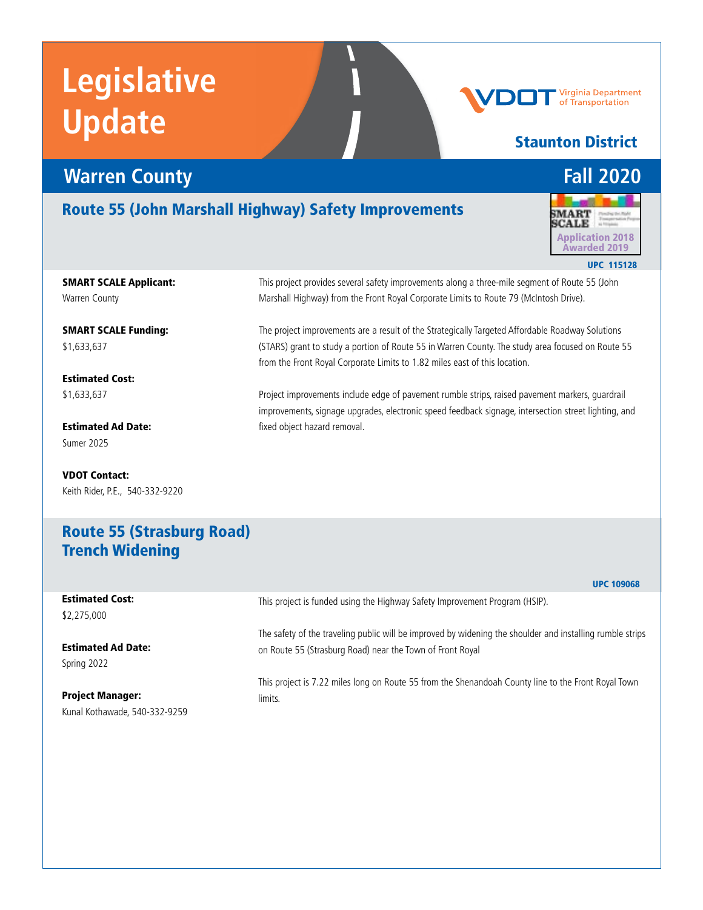### *Warren County* **<b>Fall 2020**

#### Route 55 (John Marshall Highway) Safety Improvements

**MART SCALE** Application 2018 Awarded 2019 UPC 115128

SMART SCALE Applicant: Warren County

SMART SCALE Funding: \$1,633,637

Estimated Cost: \$1,633,637

Estimated Ad Date: Sumer 2025

VDOT Contact: Keith Rider, P.E., 540-332-9220 This project provides several safety improvements along a three-mile segment of Route 55 (John Marshall Highway) from the Front Royal Corporate Limits to Route 79 (McIntosh Drive).

The project improvements are a result of the Strategically Targeted Affordable Roadway Solutions (STARS) grant to study a portion of Route 55 in Warren County. The study area focused on Route 55 from the Front Royal Corporate Limits to 1.82 miles east of this location.

Project improvements include edge of pavement rumble strips, raised pavement markers, guardrail improvements, signage upgrades, electronic speed feedback signage, intersection street lighting, and fixed object hazard removal.

#### Route 55 (Strasburg Road) Trench Widening

|                                       | <b>UPC 109068</b>                                                                                         |
|---------------------------------------|-----------------------------------------------------------------------------------------------------------|
| <b>Estimated Cost:</b><br>\$2,275,000 | This project is funded using the Highway Safety Improvement Program (HSIP).                               |
| <b>Estimated Ad Date:</b>             | The safety of the traveling public will be improved by widening the shoulder and installing rumble strips |
| Spring 2022                           | on Route 55 (Strasburg Road) near the Town of Front Royal                                                 |
| <b>Project Manager:</b>               | This project is 7.22 miles long on Route 55 from the Shenandoah County line to the Front Royal Town       |
| Kunal Kothawade, 540-332-9259         | limits.                                                                                                   |



Virginia Department of Transportation

Staunton District

UPC 109068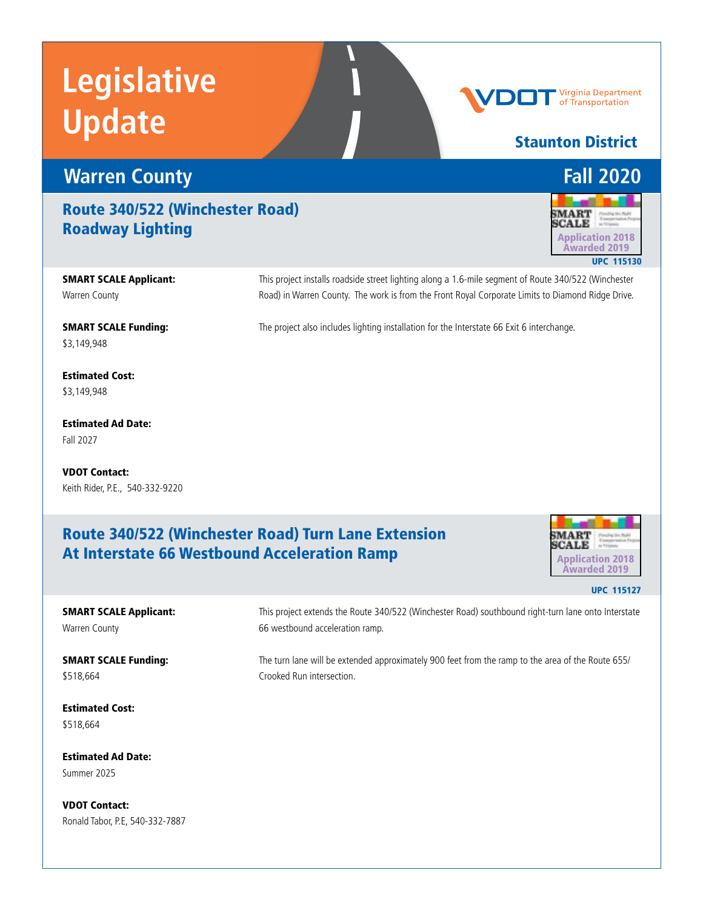

#### Route 340/522 (Winchester Road) Roadway Lighting

SMART SCALE Applicant: Warren County

SMART SCALE Funding: \$3,149,948

Estimated Cost: \$3,149,948

Estimated Ad Date: Fall 2027

VDOT Contact: Keith Rider, P.E., 540-332-9220

#### Route 340/522 (Winchester Road) Turn Lane Extension At Interstate 66 Westbound Acceleration Ramp

66 westbound acceleration ramp.



Staunton District

MART **SCALE** 

UPC 115130

Application 2018 Awarded 2019

Virginia Department of Transportation

UPC 115127

SMART SCALE Applicant: Warren County

SMART SCALE Funding: \$518,664

The turn lane will be extended approximately 900 feet from the ramp to the area of the Route 655/ Crooked Run intersection.

This project extends the Route 340/522 (Winchester Road) southbound right-turn lane onto Interstate

This project installs roadside street lighting along a 1.6-mile segment of Route 340/522 (Winchester Road) in Warren County. The work is from the Front Royal Corporate Limits to Diamond Ridge Drive.

The project also includes lighting installation for the Interstate 66 Exit 6 interchange.

Estimated Cost: \$518,664

Estimated Ad Date: Summer 2025

VDOT Contact: Ronald Tabor, P.E, 540-332-7887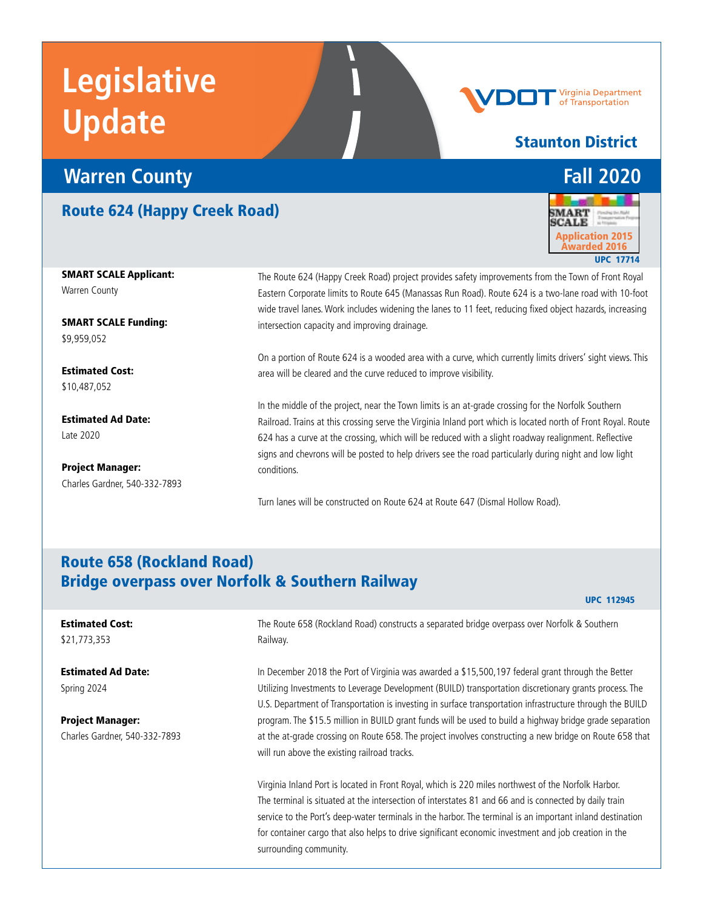### **Warren County Fall 2020**

#### Route 624 (Happy Creek Road)



Staunton District

Virginia Department of Transportation

SMART SCALE Applicant: Warren County

SMART SCALE Funding: \$9,959,052

Estimated Cost: \$10,487,052

Estimated Ad Date: Late 2020

Project Manager: Charles Gardner, 540-332-7893 The Route 624 (Happy Creek Road) project provides safety improvements from the Town of Front Royal Eastern Corporate limits to Route 645 (Manassas Run Road). Route 624 is a two-lane road with 10-foot wide travel lanes. Work includes widening the lanes to 11 feet, reducing fixed object hazards, increasing intersection capacity and improving drainage.

On a portion of Route 624 is a wooded area with a curve, which currently limits drivers' sight views. This area will be cleared and the curve reduced to improve visibility.

In the middle of the project, near the Town limits is an at-grade crossing for the Norfolk Southern Railroad. Trains at this crossing serve the Virginia Inland port which is located north of Front Royal. Route 624 has a curve at the crossing, which will be reduced with a slight roadway realignment. Reflective signs and chevrons will be posted to help drivers see the road particularly during night and low light conditions.

Turn lanes will be constructed on Route 624 at Route 647 (Dismal Hollow Road).

#### Route 658 (Rockland Road) Bridge overpass over Norfolk & Southern Railway

#### UPC 112945

#### Estimated Cost: \$21,773,353

Estimated Ad Date: Spring 2024

Project Manager: Charles Gardner, 540-332-7893 The Route 658 (Rockland Road) constructs a separated bridge overpass over Norfolk & Southern Railway.

In December 2018 the Port of Virginia was awarded a \$15,500,197 federal grant through the Better Utilizing Investments to Leverage Development (BUILD) transportation discretionary grants process. The U.S. Department of Transportation is investing in surface transportation infrastructure through the BUILD program. The \$15.5 million in BUILD grant funds will be used to build a highway bridge grade separation at the at-grade crossing on Route 658. The project involves constructing a new bridge on Route 658 that will run above the existing railroad tracks.

Virginia Inland Port is located in Front Royal, which is 220 miles northwest of the Norfolk Harbor. The terminal is situated at the intersection of interstates 81 and 66 and is connected by daily train service to the Port's deep-water terminals in the harbor. The terminal is an important inland destination for container cargo that also helps to drive significant economic investment and job creation in the surrounding community.